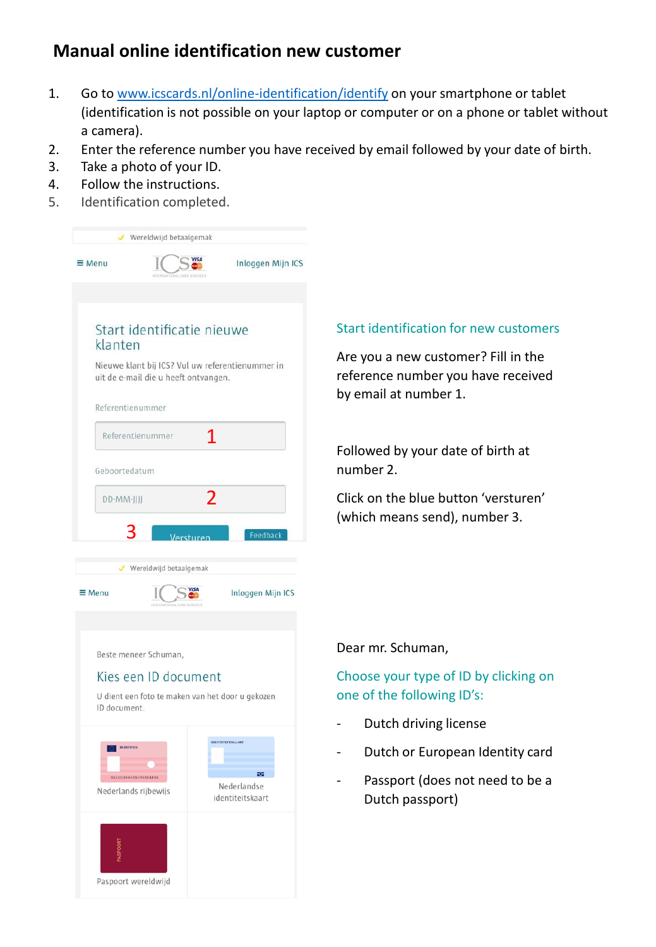# **Manual online identification new customer**

- 1. Go to [www.icscards.nl/online-identification/identify](https://www.icscards.nl/online-identification/identify) on your smartphone or tablet (identification is not possible on your laptop or computer or on a phone or tablet without a camera).
- 2. Enter the reference number you have received by email followed by your date of birth.
- 3. Take a photo of your ID.
- 4. Follow the instructions.
- 5. Identification completed.

|                                                                    | Wereldwijd betaalgemak                                                                   |                                                          |
|--------------------------------------------------------------------|------------------------------------------------------------------------------------------|----------------------------------------------------------|
| $\equiv$ Menu                                                      |                                                                                          | Inloggen Mijn ICS                                        |
|                                                                    |                                                                                          |                                                          |
| klanten                                                            | Start identificatie nieuwe                                                               |                                                          |
|                                                                    | Nieuwe klant bij ICS? Vul uw referentienummer in<br>uit de e-mail die u heeft ontvangen. |                                                          |
| Referentienummer                                                   |                                                                                          |                                                          |
|                                                                    | Referentienummer<br>1                                                                    |                                                          |
| Geboortedatum                                                      |                                                                                          |                                                          |
| DD-MM-JJJJ                                                         | 2                                                                                        |                                                          |
| 3                                                                  |                                                                                          |                                                          |
|                                                                    | Versturen                                                                                | Feedback                                                 |
|                                                                    | Wereldwijd betaalgemak                                                                   |                                                          |
|                                                                    |                                                                                          |                                                          |
| $\equiv$ Menu                                                      |                                                                                          | Inloggen Mijn ICS                                        |
|                                                                    |                                                                                          |                                                          |
|                                                                    |                                                                                          |                                                          |
|                                                                    | Beste meneer Schuman,                                                                    |                                                          |
|                                                                    | Kies een ID document                                                                     |                                                          |
| ID document.                                                       | U dient een foto te maken van het door u gekozen                                         |                                                          |
| <b>RUBEWIJS</b><br>XXXI2XX454XXX673XXXXXXX<br>Nederlands rijbewijs |                                                                                          | IDENTITEITSKAART<br>₩<br>Nederlandse<br>identiteitskaart |
|                                                                    | Paspoort wereldwijd                                                                      |                                                          |

# Start identification for new customers

Are you a new customer? Fill in the reference number you have received by email at number 1.

Followed by your date of birth at number 2.

Click on the blue button 'versturen' (which means send), number 3.

# Dear mr. Schuman,

# Choose your type of ID by clicking on one of the following ID's:

- Dutch driving license
- Dutch or European Identity card
- Passport (does not need to be a Dutch passport)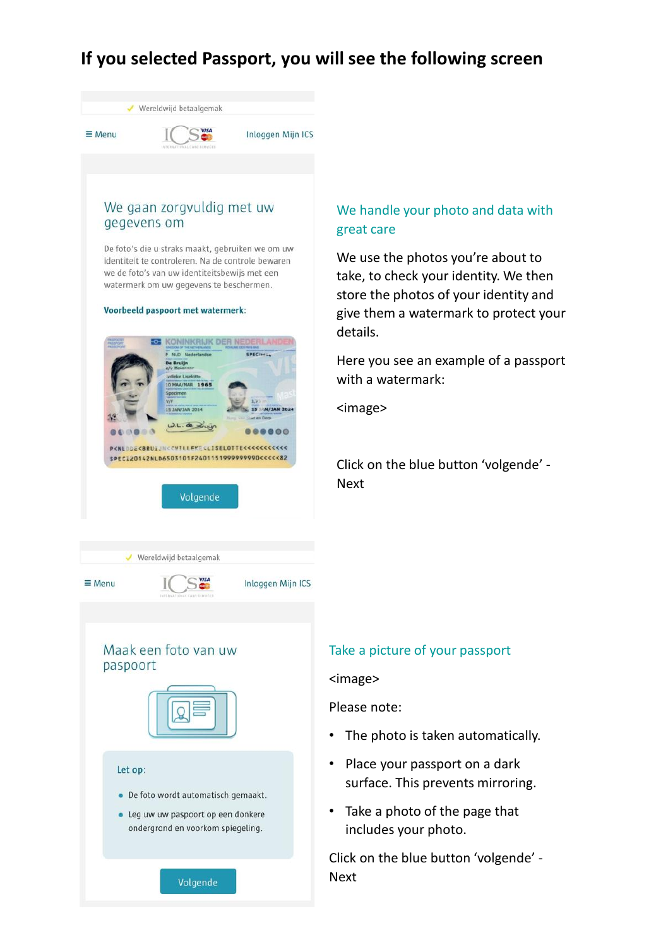# **If you selected Passport, you will see the following screen**

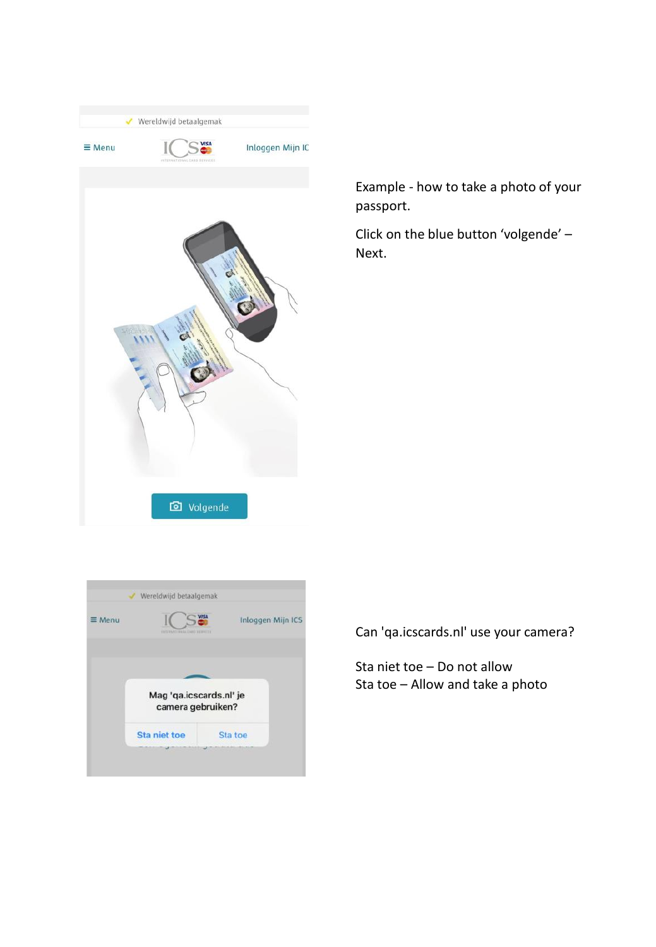

Example - how to take a photo of your passport.

Click on the blue button 'volgende' – Next.

| $\equiv$ Menu | <b>INTENSATIONAL ENRY TERRITY</b>            | Inloggen Mijn ICS |  |
|---------------|----------------------------------------------|-------------------|--|
|               | Mag 'qa.icscards.nl' je<br>camera gebruiken? |                   |  |
|               | Sta niet toe                                 | Sta toe           |  |

Can 'qa.icscards.nl' use your camera?

Sta niet toe – Do not allow Sta toe – Allow and take a photo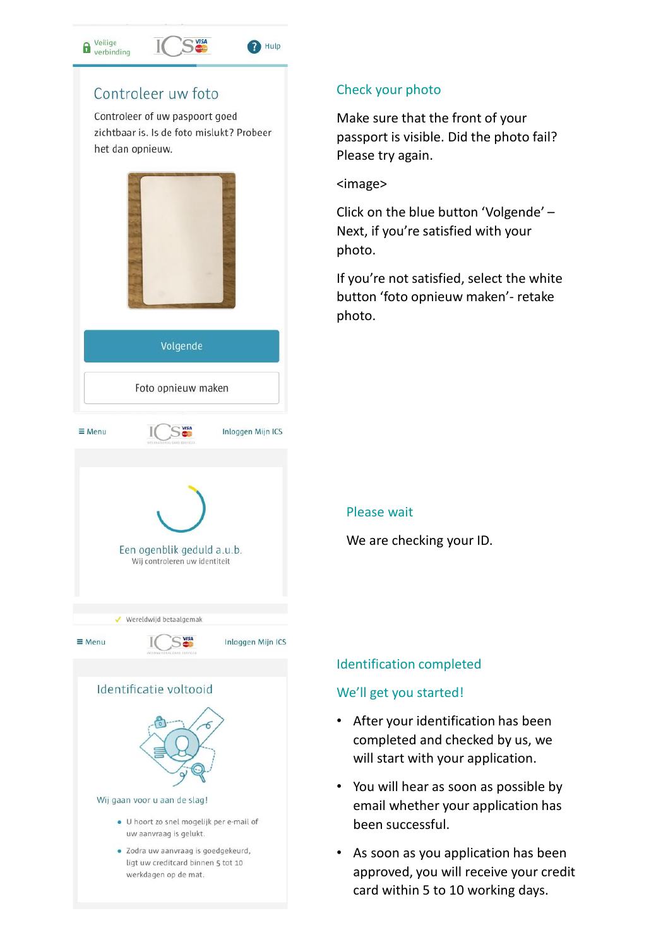# Controleer uw foto

e Veilige<br>erbinding

Controleer of uw paspoort goed zichtbaar is. Is de foto mislukt? Probeer het dan opnieuw.

<sup>2</sup>Hulp







# Check your photo

Make sure that the front of your passport is visible. Did the photo fail? Please try again.

<image>

Click on the blue button 'Volgende' – Next, if you're satisfied with your photo.

If you're not satisfied, select the white button 'foto opnieuw maken'- retake photo.

# Please wait

We are checking your ID.

# Identification completed

# We'll get you started!

- After your identification has been completed and checked by us, we will start with your application.
- You will hear as soon as possible by email whether your application has been successful.
- As soon as you application has been approved, you will receive your credit card within 5 to 10 working days.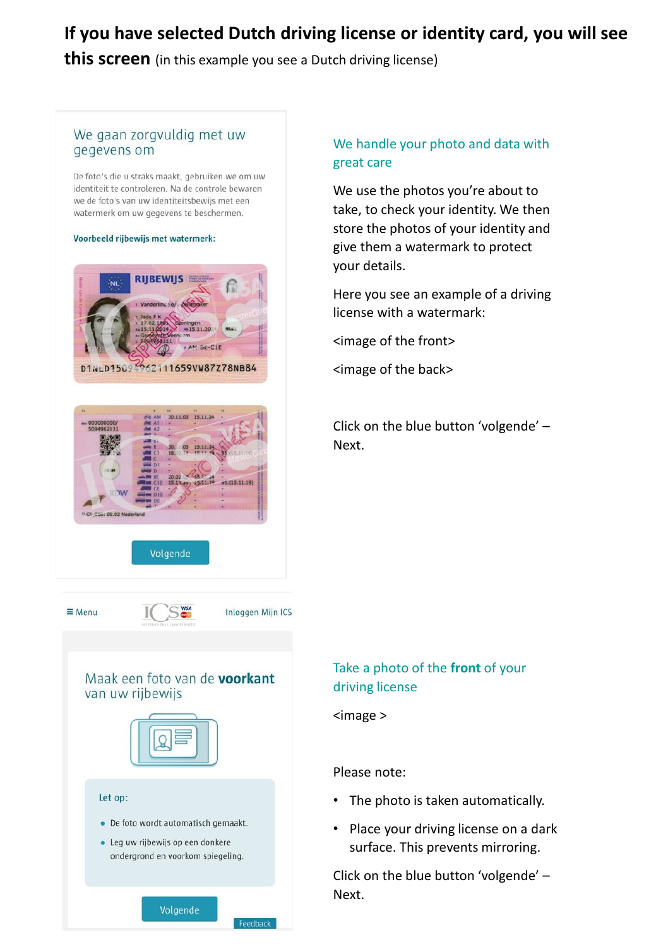# **If you have selected Dutch driving license or identity card, you will see**

**this screen** (in this example you see a Dutch driving license)

# We gaan zorgvuldig met uw gegevens om

De foto's die u straks maakt, gebruiken we om uw identiteit te controleren. Na de controle bewaren we de foto's van uw identiteitsbewijs met een watermerk om uw gegevens te beschermen.

#### Voorbeeld rijbewijs met watermerk:





Volgende

S<sub>wisa</sub>

Inloggen Mijn ICS

Feedback

# We handle your photo and data with great care

We use the photos you're about to take, to check your identity. We then store the photos of your identity and give them a watermark to protect your details.

Here you see an example of a driving license with a watermark:

<image of the front>

<image of the back>

Click on the blue button 'volgende' – Next.

# Maak een foto van de voorkant

van uw rijbewijs



#### Let op:

 $\equiv$  Menu

- De foto wordt automatisch gemaakt.
- · Leg uw rijbewijs op een donkere ondergrond en voorkom spiegeling.

Volgende

# Take a photo of the **front** of your driving license

<image >

### Please note:

- The photo is taken automatically.
- Place your driving license on a dark surface. This prevents mirroring.

Click on the blue button 'volgende' – Next.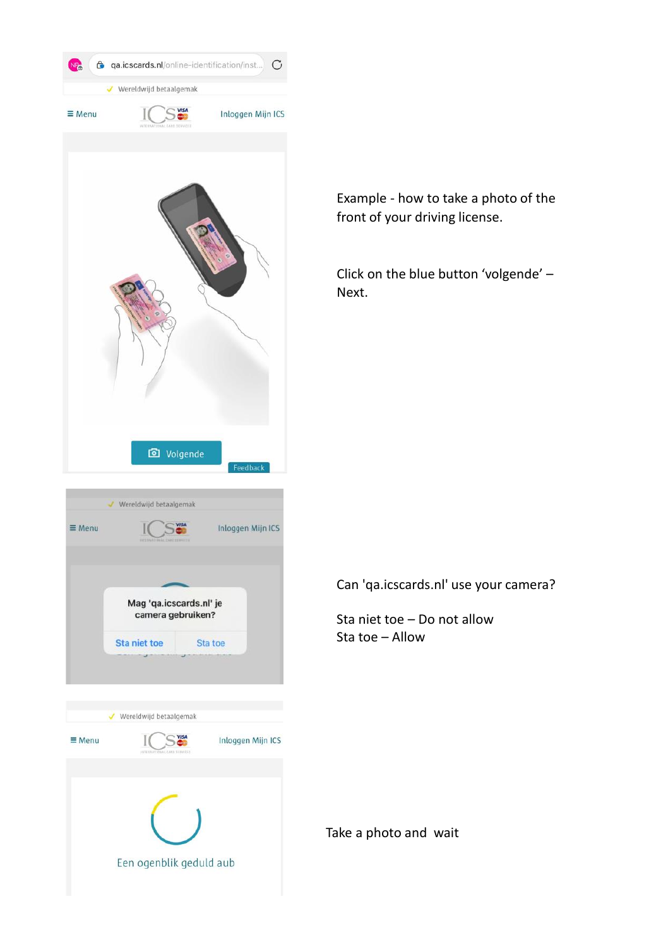

Example - how to take a photo of the front of your driving license.

Click on the blue button 'volgende' – Next.

Can 'qa.icscards.nl' use your camera?

Sta niet toe – Do not allow Sta toe – Allow

Take a photo and wait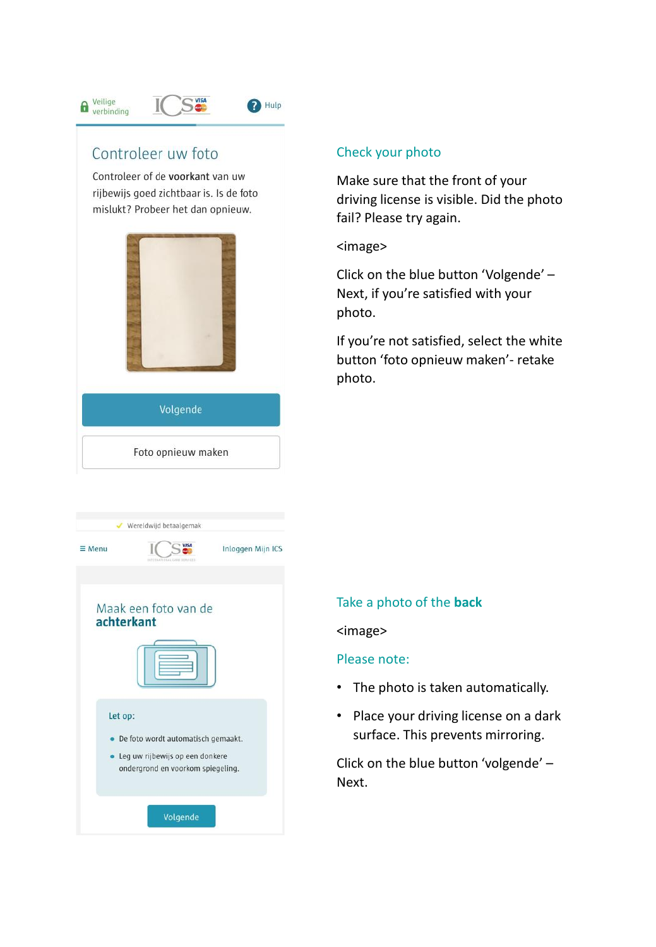# **A** Veilige<br>
verbinding



# Controleer uw foto

Controleer of de voorkant van uw rijbewijs goed zichtbaar is. Is de foto mislukt? Probeer het dan opnieuw.

SWSA



# Check your photo

Make sure that the front of your driving license is visible. Did the photo fail? Please try again.

## <image>

Click on the blue button 'Volgende' – Next, if you're satisfied with your photo.

If you're not satisfied, select the white button 'foto opnieuw maken'- retake photo.

|               | Wereldwijd betaalgemak                                                                                     |                   |
|---------------|------------------------------------------------------------------------------------------------------------|-------------------|
| $\equiv$ Menu | <b>VISA</b><br>INTERNATIONAL CARD SERVICES                                                                 | Inloggen Mijn ICS |
| achterkant    | Maak een foto van de                                                                                       |                   |
|               |                                                                                                            |                   |
| Let op:       | De foto wordt automatisch gemaakt.<br>Leg uw rijbewijs op een donkere<br>ondergrond en voorkom spiegeling. |                   |
|               | Volgende                                                                                                   |                   |

# Take a photo of the **back**

### <image>

## Please note:

- The photo is taken automatically.
- Place your driving license on a dark surface. This prevents mirroring.

Click on the blue button 'volgende' – Next.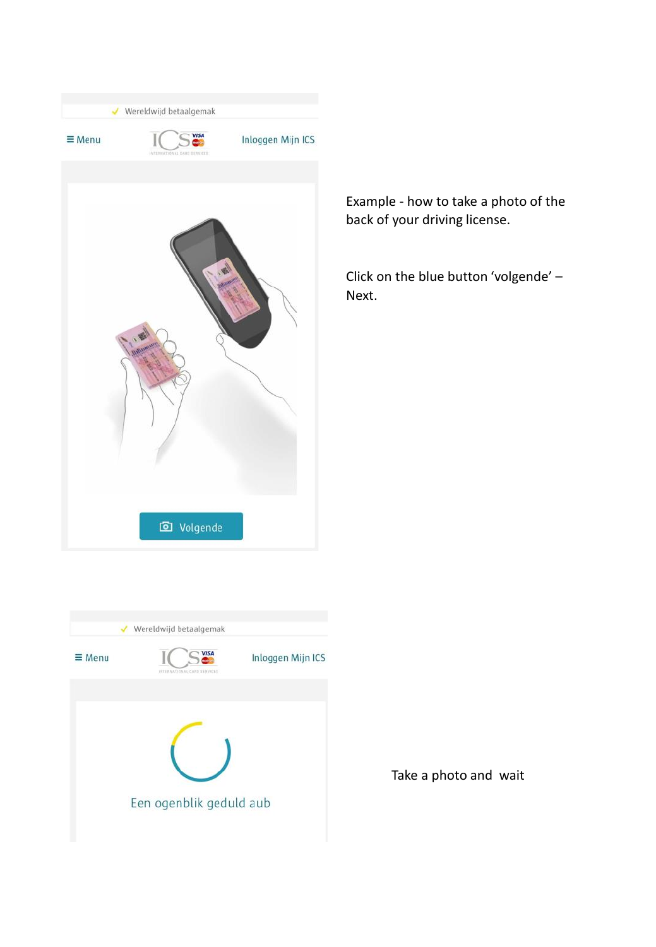

Example - how to take a photo of the back of your driving license.

Click on the blue button 'volgende' – Next.



Take a photo and wait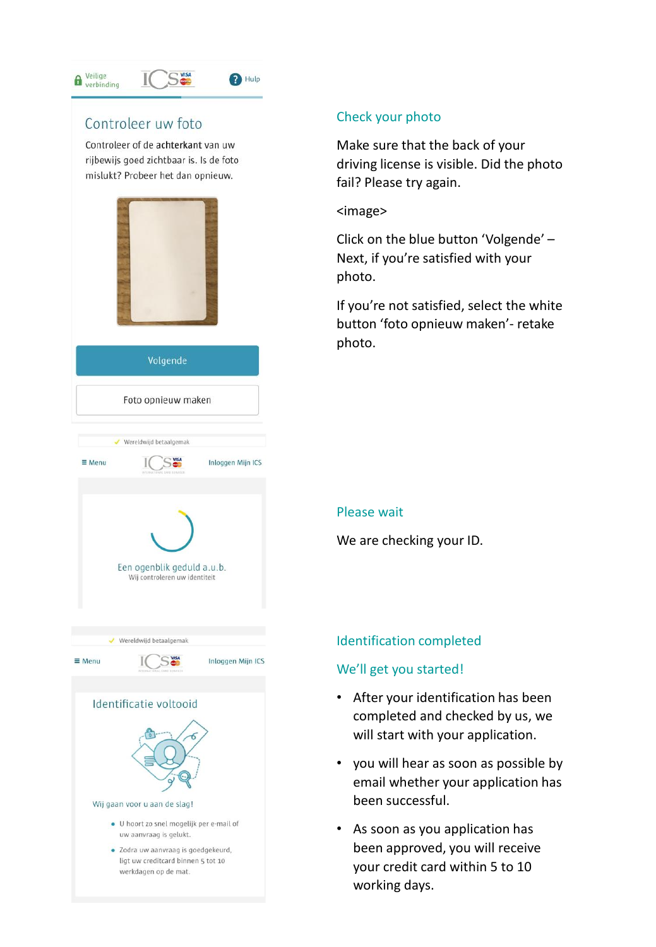#### Veilige 6 verbinding

<sup>1</sup>Hulp

**S**VISA

# Controleer uw foto Controleer of de achterkant van uw rijbewijs goed zichtbaar is. Is de foto mislukt? Probeer het dan opnieuw. Volgende Foto opnieuw maken ✔ Wereldwijd betaalgemak  $\equiv$  Menu **VISA** Inloggen Mijn ICS Een ogenblik geduld a.u.b. Wij controleren uw identiteit ✔ Wereldwijd betaalgemak S<sub>wisa</sub>  $\equiv$  Menu Inloggen Mijn ICS Identificatie voltooid Wij gaan voor u aan de slag! · U hoort zo snel mogelijk per e-mail of uw aanvraag is gelukt. · Zodra uw aanvraag is goedgekeurd. ligt uw creditcard binnen 5 tot 10 werkdagen op de mat.

# Check your photo

Make sure that the back of your driving license is visible. Did the photo fail? Please try again.

<image>

Click on the blue button 'Volgende' – Next, if you're satisfied with your photo.

If you're not satisfied, select the white button 'foto opnieuw maken'- retake photo.

# Please wait

We are checking your ID.

# Identification completed

# We'll get you started!

- After your identification has been completed and checked by us, we will start with your application.
- you will hear as soon as possible by email whether your application has been successful.
- As soon as you application has been approved, you will receive your credit card within 5 to 10 working days.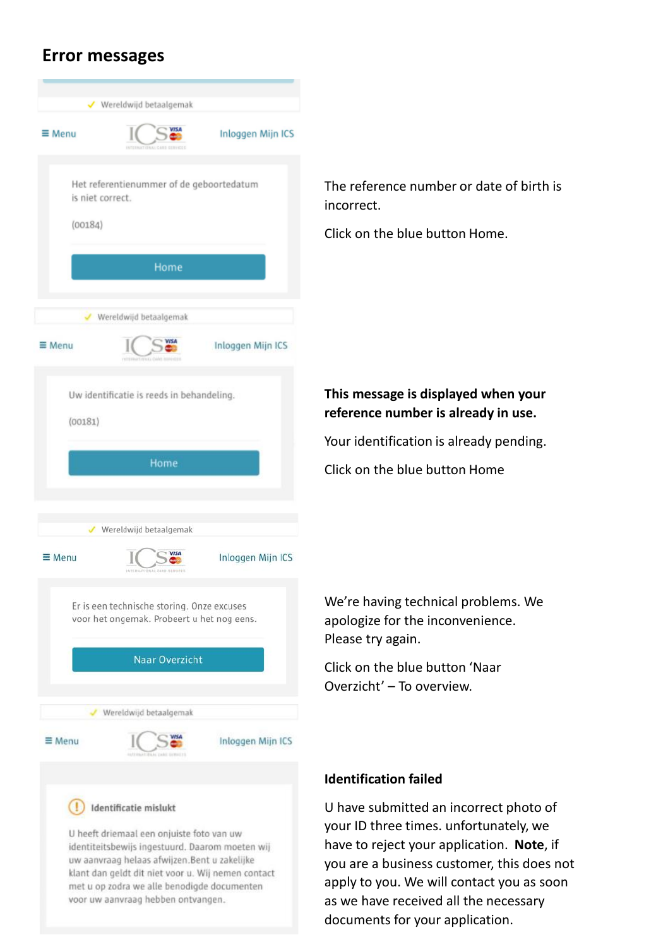# **Error messages**

| $\equiv$ Menu    |                                                                                          | Inloggen Mijn ICS |
|------------------|------------------------------------------------------------------------------------------|-------------------|
|                  | Het referentienummer of de geboortedatum                                                 |                   |
| is niet correct. |                                                                                          |                   |
| (00184)          |                                                                                          |                   |
|                  | Home                                                                                     |                   |
|                  | ✔ Wereldwijd betaalgemak                                                                 |                   |
| ≡ Menu           | <b>VISA</b>                                                                              | Inloggen Mijn ICS |
|                  | Uw identificatie is reeds in behandeling.                                                |                   |
| (00181)          |                                                                                          |                   |
|                  | Home                                                                                     |                   |
|                  |                                                                                          |                   |
|                  | ✔ Wereldwijd betaalgemak                                                                 |                   |
| $\equiv$ Menu    | INTERNATIONAL CARD SERVICES                                                              | Inloggen Mijn ICS |
|                  |                                                                                          |                   |
|                  | Er is een technische storing. Onze excuses<br>voor het ongemak. Probeert u het nog eens. |                   |
|                  | Naar Overzicht                                                                           |                   |
|                  | Wereldwijd betaalgemak                                                                   |                   |
| ≡ Menu           |                                                                                          | Inloggen Mijn ICS |
|                  | Identificatie mislukt                                                                    |                   |

The reference number or date of birth is incorrect.

Click on the blue button Home.

# **This message is displayed when your reference number is already in use.**

Your identification is already pending.

Click on the blue button Home

We're having technical problems. We apologize for the inconvenience. Please try again.

Click on the blue button 'Naar Overzicht' – To overview.

# **Identification failed**

U have submitted an incorrect photo of your ID three times. unfortunately, we have to reject your application. **Note**, if you are a business customer, this does not apply to you. We will contact you as soon as we have received all the necessary documents for your application.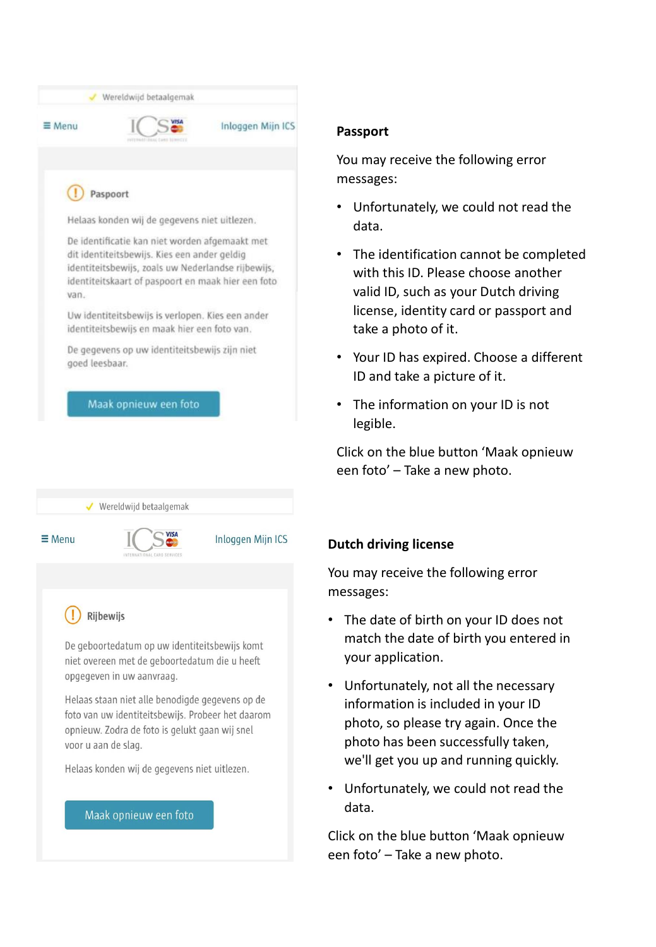

# **Passport**

You may receive the following error messages:

- Unfortunately, we could not read the data.
- The identification cannot be completed with this ID. Please choose another valid ID, such as your Dutch driving license, identity card or passport and take a photo of it.
- Your ID has expired. Choose a different ID and take a picture of it.
- The information on your ID is not legible.

Click on the blue button 'Maak opnieuw een foto' – Take a new photo.

# **Dutch driving license**

You may receive the following error messages:

- The date of birth on your ID does not match the date of birth you entered in your application.
- Unfortunately, not all the necessary information is included in your ID photo, so please try again. Once the photo has been successfully taken, we'll get you up and running quickly.
- Unfortunately, we could not read the data.

Click on the blue button 'Maak opnieuw een foto' – Take a new photo.